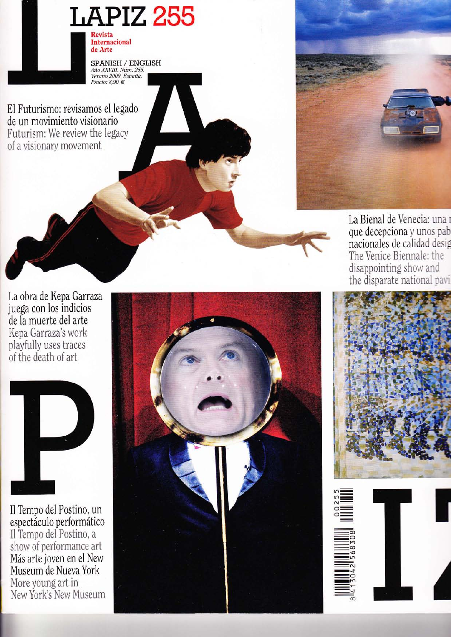

SPANISH / ENGLISH *Mio XXVIII. Núm. 255.*<br>*Nino XXVIII. Núm. 255.*<br>*Verano 2009. España.*<br>*Precio: 8,90* €

El Futurismo: revisamos el legado de un movimiento visionario Futurism: We review the legacy of a visionary movement



La Bienal de Venecia: una i que decepciona y unos pab nacionales de calidad desig The Venice Biennale: the disappointing show and the disparate national pavi

La obra de Kepa Garraza juega con los indicios de la muerte del arte Kepa Garraza's work playfully uses traces of the death of art



Il Tempo del Postino, un espectáculo performático Il Tempo del Postino, a show of performance art Más arte joven en el New Museum de Nueva York More young art in New York's New Museum